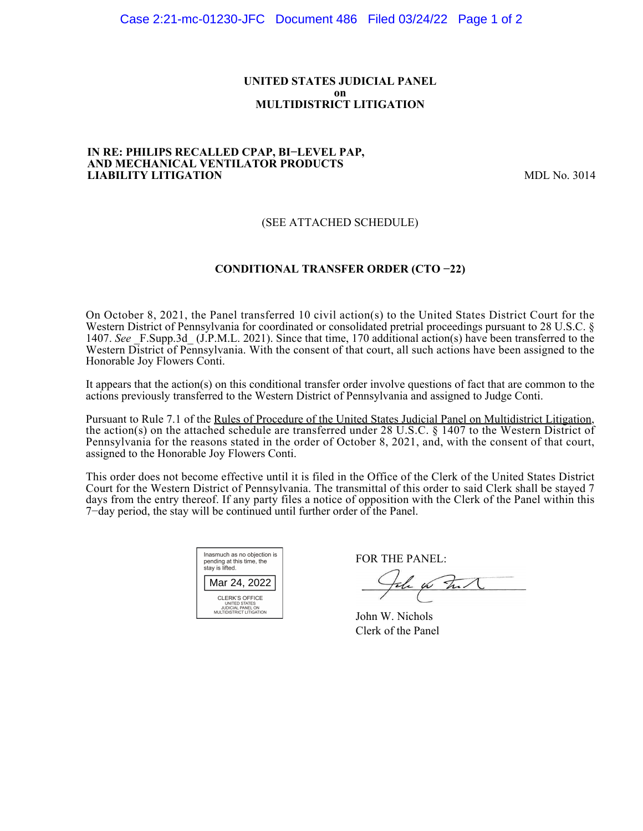#### **UNITED STATES JUDICIAL PANEL on MULTIDISTRICT LITIGATION**

#### **IN RE: PHILIPS RECALLED CPAP, BI−LEVEL PAP, AND MECHANICAL VENTILATOR PRODUCTS LIABILITY LITIGATION** MDL No. 3014

## (SEE ATTACHED SCHEDULE)

## **CONDITIONAL TRANSFER ORDER (CTO −22)**

On October 8, 2021, the Panel transferred 10 civil action(s) to the United States District Court for the Western District of Pennsylvania for coordinated or consolidated pretrial proceedings pursuant to 28 U.S.C. § 1407. See F.Supp.3d (J.P.M.L. 2021). Since that time, 170 additional action(s) have been transferred to the Western District of Pennsylvania. With the consent of that court, all such actions have been assigned to the Honorable Joy Flowers Conti.

It appears that the action(s) on this conditional transfer order involve questions of fact that are common to the actions previously transferred to the Western District of Pennsylvania and assigned to Judge Conti.

Pursuant to Rule 7.1 of the Rules of Procedure of the United States Judicial Panel on Multidistrict Litigation, the action(s) on the attached schedule are transferred under 28 U.S.C. § 1407 to the Western District of Pennsylvania for the reasons stated in the order of October 8, 2021, and, with the consent of that court, assigned to the Honorable Joy Flowers Conti.

This order does not become effective until it is filed in the Office of the Clerk of the United States District Court for the Western District of Pennsylvania. The transmittal of this order to said Clerk shall be stayed 7 days from the entry thereof. If any party files a notice of opposition with the Clerk of the Panel within this 7−day period, the stay will be continued until further order of the Panel.

| Inasmuch as no objection is<br>pending at this time, the<br>stay is lifted.                    |  |  |  |  |
|------------------------------------------------------------------------------------------------|--|--|--|--|
| Mar 24, 2022                                                                                   |  |  |  |  |
| CLERK'S OFFICE<br><b>UNITED STATES</b><br><b>JUDICIAL PANEL ON</b><br>MULTIDISTRICT LITIGATION |  |  |  |  |

FOR THE PANEL:

John for The N

John W. Nichols Clerk of the Panel